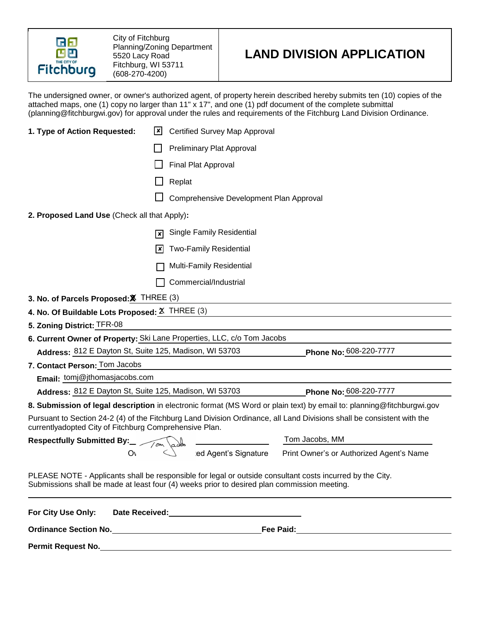

City of Fitchburg Planning/Zoning Department 5520 Lacy Road Fitchburg, WI 53711 (608-270-4200)

# **LAND DIVISION APPLICATION**

The undersigned owner, or owner's authorized agent, of property herein described hereby submits ten (10) copies of the attached maps, one (1) copy no larger than 11" x 17", and one (1) pdf document of the complete submittal (planning@fitchburgwi.gov) for approval under the rules and requirements of the Fitchburg Land Division Ordinance.

| 1. Type of Action Requested:                                                                | <b>Certified Survey Map Approval</b><br>l×l         |                                                                                                                        |  |
|---------------------------------------------------------------------------------------------|-----------------------------------------------------|------------------------------------------------------------------------------------------------------------------------|--|
|                                                                                             |                                                     | <b>Preliminary Plat Approval</b>                                                                                       |  |
|                                                                                             | Final Plat Approval                                 |                                                                                                                        |  |
|                                                                                             | Replat                                              |                                                                                                                        |  |
|                                                                                             | Comprehensive Development Plan Approval             |                                                                                                                        |  |
| 2. Proposed Land Use (Check all that Apply):                                                |                                                     |                                                                                                                        |  |
|                                                                                             | <b>Single Family Residential</b><br>$\vert x \vert$ |                                                                                                                        |  |
|                                                                                             | <b>Two-Family Residential</b><br> x                 |                                                                                                                        |  |
|                                                                                             |                                                     |                                                                                                                        |  |
|                                                                                             | Multi-Family Residential                            |                                                                                                                        |  |
|                                                                                             | Commercial/Industrial                               |                                                                                                                        |  |
| 3. No. of Parcels Proposed: X THREE (3)                                                     |                                                     |                                                                                                                        |  |
| 4. No. Of Buildable Lots Proposed: $X$ THREE (3)                                            |                                                     |                                                                                                                        |  |
| 5. Zoning District: TFR-08                                                                  |                                                     |                                                                                                                        |  |
| 6. Current Owner of Property: Ski Lane Properties, LLC, c/o Tom Jacobs                      |                                                     |                                                                                                                        |  |
| Address: 812 E Dayton St, Suite 125, Madison, WI 53703                                      |                                                     | Phone No: 608-220-7777                                                                                                 |  |
| 7. Contact Person: Tom Jacobs                                                               |                                                     |                                                                                                                        |  |
| Email: tomj@jthomasjacobs.com                                                               |                                                     |                                                                                                                        |  |
| Address: 812 E Dayton St, Suite 125, Madison, WI 53703                                      |                                                     | Phone No: 608-220-7777                                                                                                 |  |
|                                                                                             |                                                     | 8. Submission of legal description in electronic format (MS Word or plain text) by email to: planning@fitchburgwi.gov  |  |
| currentlyadopted City of Fitchburg Comprehensive Plan.                                      |                                                     | Pursuant to Section 24-2 (4) of the Fitchburg Land Division Ordinance, all Land Divisions shall be consistent with the |  |
| <b>Respectfully Submitted By:</b>                                                           |                                                     | Tom Jacobs, MM                                                                                                         |  |
| O١                                                                                          | ed Agent's Signature                                | Print Owner's or Authorized Agent's Name                                                                               |  |
| Submissions shall be made at least four (4) weeks prior to desired plan commission meeting. |                                                     | PLEASE NOTE - Applicants shall be responsible for legal or outside consultant costs incurred by the City.              |  |
| For City Use Only:                                                                          | Date Received:<br><u> </u>                          |                                                                                                                        |  |
|                                                                                             |                                                     |                                                                                                                        |  |
| <b>Permit Request No.</b>                                                                   |                                                     |                                                                                                                        |  |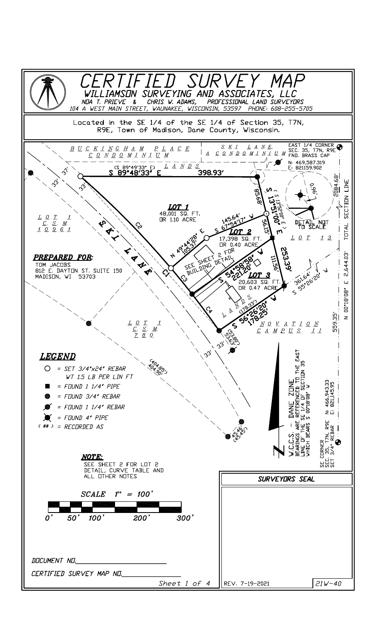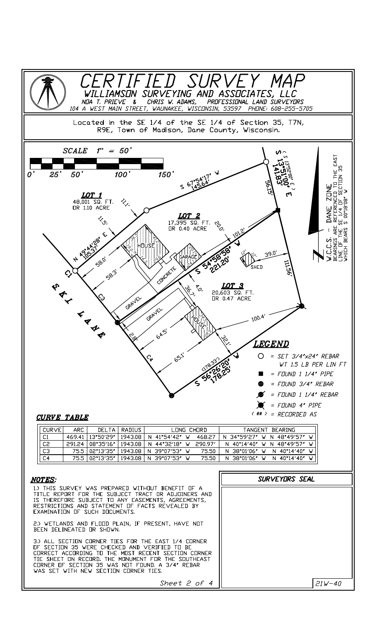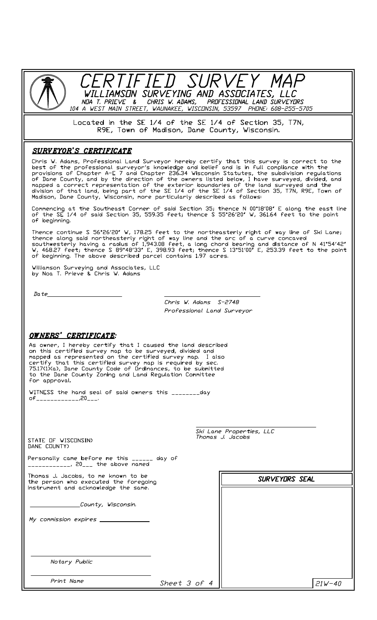

Located in the SE 1/4 of the SE 1/4 of Section 35, T7N, R9E, Town of Madison, Dane County, Wisconsin.

#### **SURVEYOR'S CERTIFICATE**

Chris W. Adams, Professional Land Surveyor hereby certify that this survey is correct to the best of the professional surveyor's knowledge and belief and is in full compliance with the provisions of Chapter A–E 7 and Chapt

Commencing at the Southeast Corner of said Section 35; thence N 00°18'08" E along the east line<br>of the SE 1/4 of said Section 35, 559.35 feet; thence S 55°26'20" W, 361.64 feet to the point of beginning.

Thence continue S 56°26'20" W, 178.25 feet to the northeasterly right of way line of Ski Lane;<br>thence along said northeasterly right of way line and the arc of a curve concaved<br>southwesterly having a radius of 1,943.08 fee

Williamson Surveying and Associates, LLC<br>by Noa T. Prieve & Chris W. Adams

 $Date$ 

Chris W. Adams S-2748 Professional Land Survevor

### OWNERS' CERTIFICATE:

As owner, I hereby certify that I caused the land described As owner, I hereby terminy that I caused the tand described<br>on this certified survey map to be surveyed, divided and<br>mapped as represented on the certified survey map. I also<br>certify that this certified survey map is requi for approval.

WITNESS the hand seal of said owners this \_\_\_\_\_\_\_\_day of\_\_\_\_\_\_\_\_\_\_\_\_\_\_,20\_\_\_.

Ski Lane Properties, LLC<br>Thomas J. Jacobs STATE OF WISCONSIN> DANE COUNTY) Personally came before me this \_\_\_\_\_\_ day of \_\_\_\_\_\_\_\_\_\_\_\_, 20\_\_\_ the above named Thomas J. Jacobs, to me known to be **SURVEYDRS SEAL** the person who executed the foregoing instrument and acknowledge the same. County, Wisconsin. My commission expires Notary Public Print Name Sheet 3 of 4  $21W - 40$